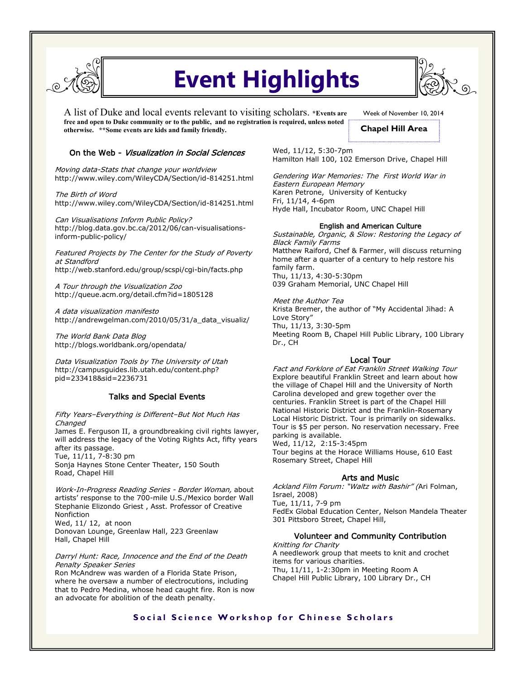

# **Event Highlights**

A list of Duke and local events relevant to visiting scholars. **\*Events are free and open to Duke community or to the public, and no registration is required, unless noted otherwise. \*\*Some events are kids and family friendly.** 

Week of November 10, 2014

**Chapel Hill Area**

### On the Web - Visualization in Social Sciences

Moving data-Stats that change your worldview http://www.wiley.com/WileyCDA/Section/id-814251.html

The Birth of Word http://www.wiley.com/WileyCDA/Section/id-814251.html

Can Visualisations Inform Public Policy? http://blog.data.gov.bc.ca/2012/06/can-visualisationsinform-public-policy/

Featured Projects by The Center for the Study of Poverty at Standford http://web.stanford.edu/group/scspi/cgi-bin/facts.php

A Tour through the Visualization Zoo http://queue.acm.org/detail.cfm?id=1805128

A data visualization manifesto http://andrewgelman.com/2010/05/31/a\_data\_visualiz/

The World Bank Data Blog http://blogs.worldbank.org/opendata/

Data Visualization Tools by The University of Utah http://campusguides.lib.utah.edu/content.php? pid=233418&sid=2236731

### Talks and Special Events

Fifty Years–Everything is Different–But Not Much Has Changed

James E. Ferguson II, a groundbreaking civil rights lawyer, will address the legacy of the Voting Rights Act, fifty years after its passage.

Tue, 11/11, 7-8:30 pm Sonja Haynes Stone Center Theater, 150 South Road, Chapel Hill

Work-In-Progress Reading Series - Border Woman, about artists' response to the 700-mile U.S./Mexico border Wall Stephanie Elizondo Griest , Asst. Professor of Creative Nonfiction Wed, 11/ 12, at noon Donovan Lounge, Greenlaw Hall, 223 Greenlaw

Hall, Chapel Hill Darryl Hunt: Race, Innocence and the End of the Death

Penalty Speaker Series Ron McAndrew was warden of a Florida State Prison, where he oversaw a number of electrocutions, including that to Pedro Medina, whose head caught fire. Ron is now an advocate for abolition of the death penalty.

Wed, 11/12, 5:30-7pm Hamilton Hall 100, 102 Emerson Drive, Chapel Hill

Gendering War Memories: The First World War in Eastern European Memory Karen Petrone, University of Kentucky Fri, 11/14, 4-6pm Hyde Hall, Incubator Room, UNC Chapel Hill

#### English and American Culture

Sustainable, Organic, & Slow: Restoring the Legacy of Black Family Farms Matthew Raiford, Chef & Farmer, will discuss returning home after a quarter of a century to help restore his family farm. Thu, 11/13, 4:30-5:30pm 039 Graham Memorial, UNC Chapel Hill

Meet the Author Tea

Krista Bremer, the author of "My Accidental Jihad: A Love Story" Thu, 11/13, 3:30-5pm

Meeting Room B, Chapel Hill Public Library, 100 Library Dr., CH

### Local Tour

Fact and Forklore of Eat Franklin Street Walking Tour Explore beautiful Franklin Street and learn about how the village of Chapel Hill and the University of North Carolina developed and grew together over the centuries. Franklin Street is part of the Chapel Hill National Historic District and the Franklin-Rosemary Local Historic District. Tour is primarily on sidewalks. Tour is \$5 per person. No reservation necessary. Free parking is available.

Wed, 11/12, 2:15-3:45pm

Tour begins at the Horace Williams House, 610 East Rosemary Street, Chapel Hill

### Arts and Music

Ackland Film Forum: "Waltz with Bashir" (Ari Folman, Israel, 2008) Tue, 11/11, 7-9 pm FedEx Global Education Center, Nelson Mandela Theater 301 Pittsboro Street, Chapel Hill,

### Volunteer and Community Contribution

Knitting for Charity A needlework group that meets to knit and crochet items for various charities. Thu, 11/11, 1-2:30pm in Meeting Room A Chapel Hill Public Library, 100 Library Dr., CH

# **Social Science Workshop for Chinese Scholars**